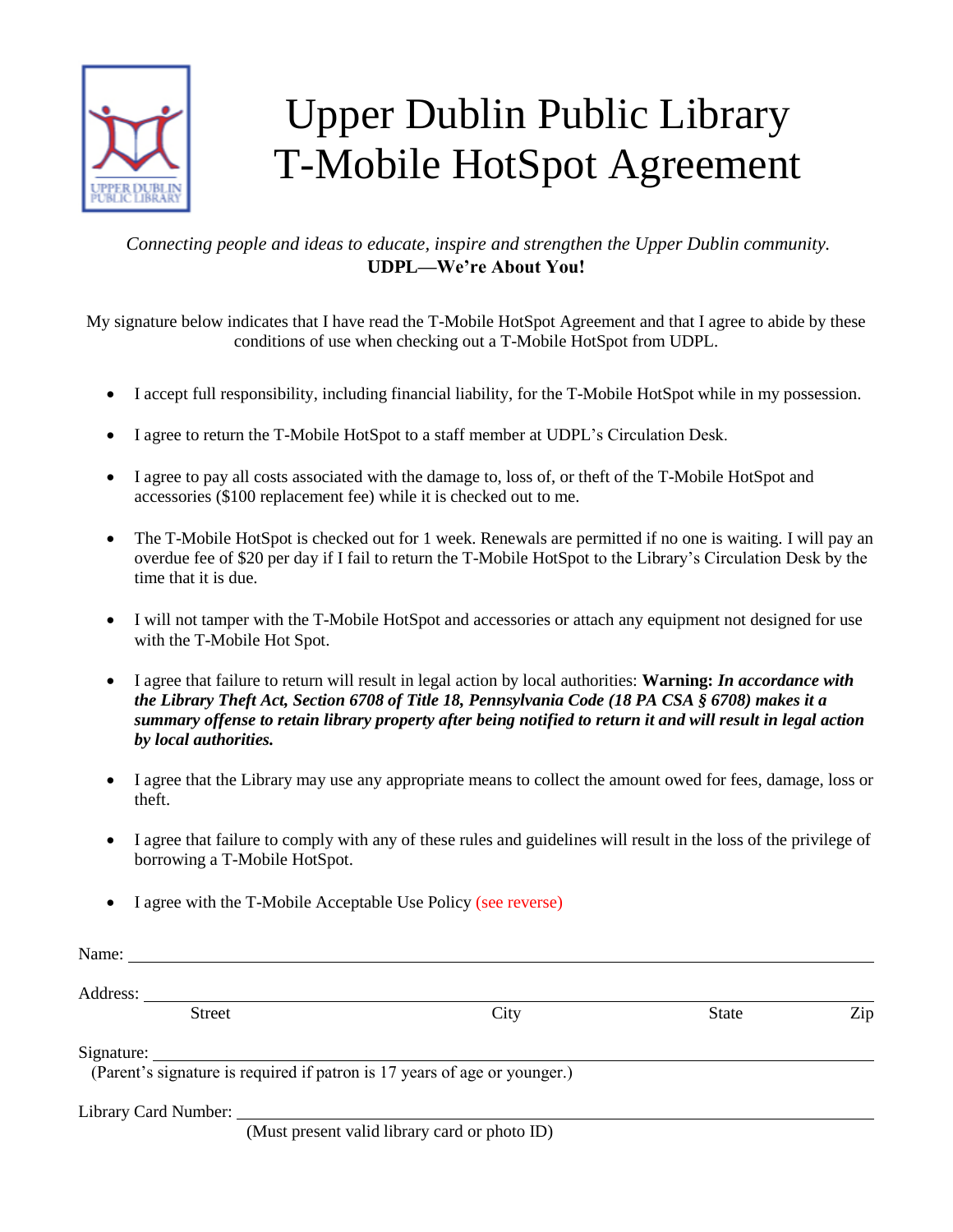

## Upper Dublin Public Library T-Mobile HotSpot Agreement

## *Connecting people and ideas to educate, inspire and strengthen the Upper Dublin community.*  **UDPL—We're About You!**

My signature below indicates that I have read the T-Mobile HotSpot Agreement and that I agree to abide by these conditions of use when checking out a T-Mobile HotSpot from UDPL.

- I accept full responsibility, including financial liability, for the T-Mobile HotSpot while in my possession.
- I agree to return the T-Mobile HotSpot to a staff member at UDPL's Circulation Desk.
- I agree to pay all costs associated with the damage to, loss of, or theft of the T-Mobile HotSpot and accessories (\$100 replacement fee) while it is checked out to me.
- The T-Mobile HotSpot is checked out for 1 week. Renewals are permitted if no one is waiting. I will pay an overdue fee of \$20 per day if I fail to return the T-Mobile HotSpot to the Library's Circulation Desk by the time that it is due.
- I will not tamper with the T-Mobile HotSpot and accessories or attach any equipment not designed for use with the T-Mobile Hot Spot.
- I agree that failure to return will result in legal action by local authorities: **Warning:** *In accordance with the Library Theft Act, Section 6708 of Title 18, Pennsylvania Code (18 PA CSA § 6708) makes it a summary offense to retain library property after being notified to return it and will result in legal action by local authorities.*
- I agree that the Library may use any appropriate means to collect the amount owed for fees, damage, loss or theft.
- I agree that failure to comply with any of these rules and guidelines will result in the loss of the privilege of borrowing a T-Mobile HotSpot.
- I agree with the T-Mobile Acceptable Use Policy (see reverse)

| Name:<br><u> 1980 - Jan Stein, amerikansk politiker (</u>                 |      |              |     |
|---------------------------------------------------------------------------|------|--------------|-----|
|                                                                           |      |              |     |
| <b>Street</b>                                                             | City | <b>State</b> | Zip |
| Signature:                                                                |      |              |     |
| (Parent's signature is required if patron is 17 years of age or younger.) |      |              |     |
| Library Card Number:                                                      |      |              |     |

(Must present valid library card or photo ID)